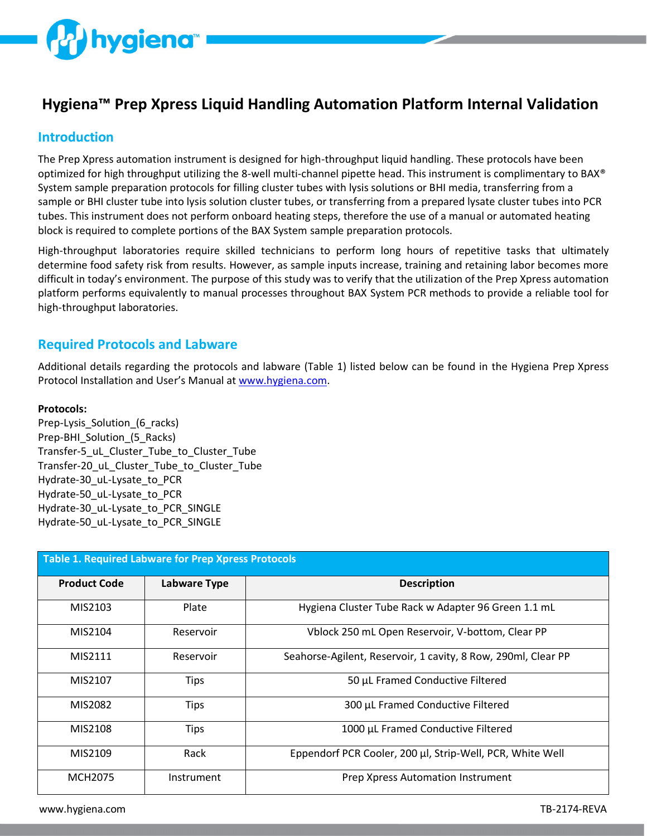

# **Hygiena™ Prep Xpress Liquid Handling Automation Platform Internal Validation**

# **Introduction**

The Prep Xpress automation instrument is designed for high-throughput liquid handling. These protocols have been optimized for high throughput utilizing the 8-well multi-channel pipette head. This instrument is complimentary to BAX® System sample preparation protocols for filling cluster tubes with lysis solutions or BHI media, transferring from a sample or BHI cluster tube into lysis solution cluster tubes, or transferring from a prepared lysate cluster tubes into PCR tubes. This instrument does not perform onboard heating steps, therefore the use of a manual or automated heating block is required to complete portions of the BAX System sample preparation protocols.

High-throughput laboratories require skilled technicians to perform long hours of repetitive tasks that ultimately determine food safety risk from results. However, as sample inputs increase, training and retaining labor becomes more difficult in today's environment. The purpose of this study was to verify that the utilization of the Prep Xpress automation platform performs equivalently to manual processes throughout BAX System PCR methods to provide a reliable tool for high-throughput laboratories.

## **Required Protocols and Labware**

Additional details regarding the protocols and labware (Table 1) listed below can be found in the Hygiena Prep Xpress Protocol Installation and User's Manual at [www.hygiena.com.](http://www.hygiena.com/)

### **Protocols:**

Prep-Lysis\_Solution\_(6\_racks) Prep-BHI\_Solution (5\_Racks) Transfer-5\_uL\_Cluster\_Tube\_to\_Cluster\_Tube Transfer-20\_uL\_Cluster\_Tube\_to\_Cluster\_Tube Hydrate-30\_uL-Lysate\_to\_PCR Hydrate-50\_uL-Lysate\_to\_PCR Hydrate-30\_uL-Lysate\_to\_PCR\_SINGLE Hydrate-50\_uL-Lysate\_to\_PCR\_SINGLE

| <b>Table 1. Required Labware for Prep Xpress Protocols</b> |                     |                                                               |
|------------------------------------------------------------|---------------------|---------------------------------------------------------------|
| <b>Product Code</b>                                        | <b>Labware Type</b> | <b>Description</b>                                            |
| MIS2103                                                    | Plate               | Hygiena Cluster Tube Rack w Adapter 96 Green 1.1 mL           |
| MIS2104                                                    | Reservoir           | Vblock 250 mL Open Reservoir, V-bottom, Clear PP              |
| MIS2111                                                    | Reservoir           | Seahorse-Agilent, Reservoir, 1 cavity, 8 Row, 290ml, Clear PP |
| MIS2107                                                    | <b>Tips</b>         | 50 µL Framed Conductive Filtered                              |
| MIS2082                                                    | <b>Tips</b>         | 300 µL Framed Conductive Filtered                             |
| MIS2108                                                    | <b>Tips</b>         | 1000 µL Framed Conductive Filtered                            |
| MIS2109                                                    | Rack                | Eppendorf PCR Cooler, 200 µl, Strip-Well, PCR, White Well     |
| <b>MCH2075</b>                                             | Instrument          | Prep Xpress Automation Instrument                             |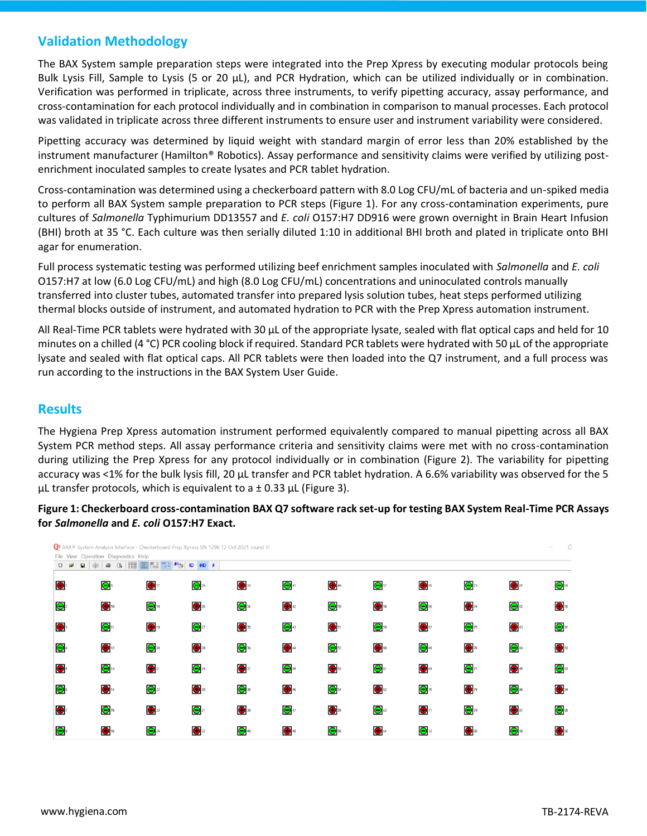# **Validation Methodology**

The BAX System sample preparation steps were integrated into the Prep Xpress by executing modular protocols being Bulk Lysis Fill, Sample to Lysis (5 or 20 µL), and PCR Hydration, which can be utilized individually or in combination. Verification was performed in triplicate, across three instruments, to verify pipetting accuracy, assay performance, and cross-contamination for each protocol individually and in combination in comparison to manual processes. Each protocol was validated in triplicate across three different instruments to ensure user and instrument variability were considered.

Pipetting accuracy was determined by liquid weight with standard margin of error less than 20% established by the instrument manufacturer (Hamilton® Robotics). Assay performance and sensitivity claims were verified by utilizing postenrichment inoculated samples to create lysates and PCR tablet hydration.

Cross-contamination was determined using a checkerboard pattern with 8.0 Log CFU/mL of bacteria and un-spiked media to perform all BAX System sample preparation to PCR steps (Figure 1). For any cross-contamination experiments, pure cultures of *Salmonella* Typhimurium DD13557 and *E. coli* O157:H7 DD916 were grown overnight in Brain Heart Infusion (BHI) broth at 35 °C. Each culture was then serially diluted 1:10 in additional BHI broth and plated in triplicate onto BHI agar for enumeration.

Full process systematic testing was performed utilizing beef enrichment samples inoculated with *Salmonella* and *E. coli*  O157:H7 at low (6.0 Log CFU/mL) and high (8.0 Log CFU/mL) concentrations and uninoculated controls manually transferred into cluster tubes, automated transfer into prepared lysis solution tubes, heat steps performed utilizing thermal blocks outside of instrument, and automated hydration to PCR with the Prep Xpress automation instrument.

All Real-Time PCR tablets were hydrated with 30  $\mu$ L of the appropriate lysate, sealed with flat optical caps and held for 10 minutes on a chilled (4 °C) PCR cooling block if required. Standard PCR tablets were hydrated with 50 µL of the appropriate lysate and sealed with flat optical caps. All PCR tablets were then loaded into the Q7 instrument, and a full process was run according to the instructions in the BAX System User Guide.

# **Results**

The Hygiena Prep Xpress automation instrument performed equivalently compared to manual pipetting across all BAX System PCR method steps. All assay performance criteria and sensitivity claims were met with no cross-contamination during utilizing the Prep Xpress for any protocol individually or in combination (Figure 2). The variability for pipetting accuracy was <1% for the bulk lysis fill, 20 µL transfer and PCR tablet hydration. A 6.6% variability was observed for the 5  $\mu$ L transfer protocols, which is equivalent to a  $\pm$  0.33  $\mu$ L (Figure 3).

### **Figure 1: Checkerboard cross-contamination BAX Q7 software rack set-up for testing BAX System Real-Time PCR Assays for** *Salmonella* **and** *E. coli* **O157:H7 Exact.**